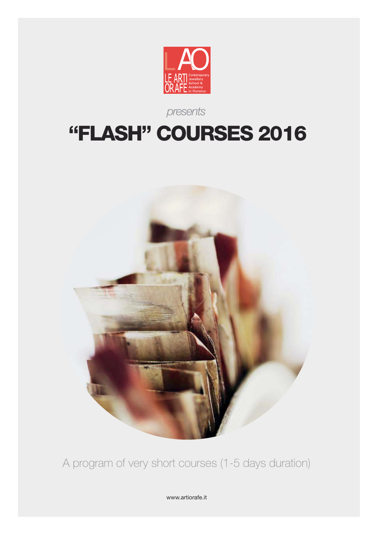

### *presents*

# **"FLASH" COURSES 2016**



A program of very short courses (1-5 days duration)

www.artiorafe.it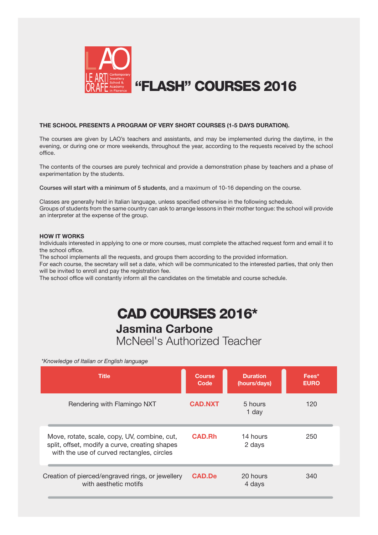

#### **THE SCHOOL PRESENTS A PROGRAM OF VERY SHORT COURSES (1-5 DAYS DURATION).**

The courses are given by LAO's teachers and assistants, and may be implemented during the daytime, in the evening, or during one or more weekends, throughout the year, according to the requests received by the school office.

The contents of the courses are purely technical and provide a demonstration phase by teachers and a phase of experimentation by the students.

**Courses will start with a minimum of 5 students**, and a maximum of 10-16 depending on the course.

Classes are generally held in Italian language, unless specified otherwise in the following schedule. Groups of students from the same country can ask to arrange lessons in their mother tongue: the school will provide an interpreter at the expense of the group.

#### **HOW IT WORKS**

Individuals interested in applying to one or more courses, must complete the attached request form and email it to the school office.

The school implements all the requests, and groups them according to the provided information.

For each course, the secretary will set a date, which will be communicated to the interested parties, that only then will be invited to enroll and pay the registration fee.

The school office will constantly inform all the candidates on the timetable and course schedule.

#### **Jasmina Carbone** McNeel's Authorized Teacher **CAD COURSES 2016\***

*\*Knowledge of Italian or English language*

| <b>Title</b>                                                                                                                                 | <b>Course</b><br>Code | <b>Duration</b><br>(hours/days) | Fees*<br><b>EURO</b> |
|----------------------------------------------------------------------------------------------------------------------------------------------|-----------------------|---------------------------------|----------------------|
| Rendering with Flamingo NXT                                                                                                                  | <b>CAD.NXT</b>        | 5 hours<br>1 day                | 120                  |
| Move, rotate, scale, copy, UV, combine, cut,<br>split, offset, modify a curve, creating shapes<br>with the use of curved rectangles, circles | <b>CAD.Rh</b>         | 14 hours<br>2 days              | 250                  |
| Creation of pierced/engraved rings, or jewellery<br>with aesthetic motifs                                                                    | <b>CAD.De</b>         | 20 hours<br>4 days              | 340                  |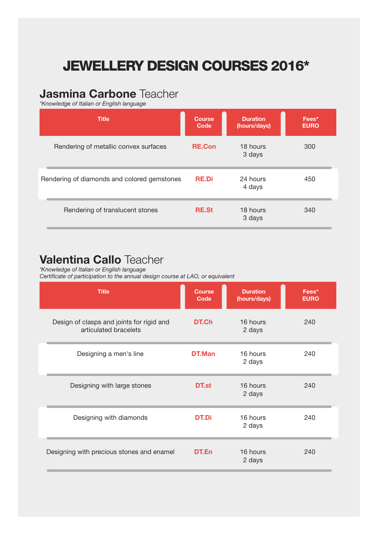# **JEWELLERY DESIGN COURSES 2016\***

### **Jasmina Carbone** Teacher

*\*Knowledge of Italian or English language*

| <b>Title</b>                                | <b>Course</b><br>Code | <b>Duration</b><br>(hours/days) | Fees*<br><b>EURO</b> |
|---------------------------------------------|-----------------------|---------------------------------|----------------------|
| Rendering of metallic convex surfaces       | <b>RE.Con</b>         | 18 hours<br>3 days              | 300                  |
| Rendering of diamonds and colored gemstones | <b>RE.Di</b>          | 24 hours<br>4 days              | 450                  |
| Rendering of translucent stones             | <b>RE.St</b>          | 18 hours<br>3 days              | 340                  |

#### **Valentina Callo** Teacher

*\*Knowledge of Italian or English language*

*Certificate of participation to the annual design course at LAO, or equivalent*

| <b>Title</b>                                                       | <b>Course</b><br>Code | <b>Duration</b><br>(hours/days) | Fees*<br><b>EURO</b> |
|--------------------------------------------------------------------|-----------------------|---------------------------------|----------------------|
| Design of clasps and joints for rigid and<br>articulated bracelets | DT.Ch                 | 16 hours<br>2 days              | 240                  |
| Designing a men's line                                             | DT.Man                | 16 hours<br>2 days              | 240                  |
| Designing with large stones                                        | DT.st                 | 16 hours<br>2 days              | 240                  |
| Designing with diamonds                                            | <b>DT.Di</b>          | 16 hours<br>2 days              | 240                  |
| Designing with precious stones and enamel                          | DT.En                 | 16 hours<br>2 days              | 240                  |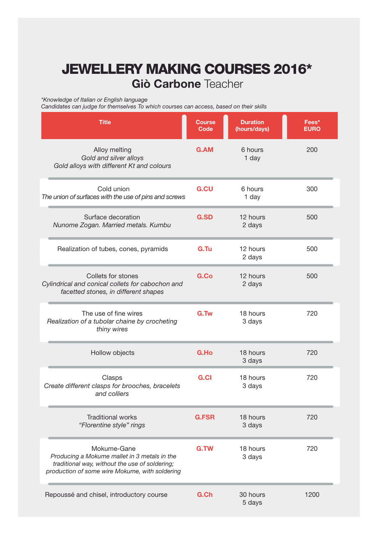# **Giò Carbone** Teacher **JEWELLERY MAKING COURSES 2016\***

*\*Knowledge of Italian or English language*

*Candidates can judge for themselves To which courses can access, based on their skills*

| <b>Title</b>                                                                                                                                                    | <b>Course</b><br>Code | <b>Duration</b><br>(hours/days) | Fees*<br><b>EURO</b> |
|-----------------------------------------------------------------------------------------------------------------------------------------------------------------|-----------------------|---------------------------------|----------------------|
| Alloy melting<br>Gold and silver alloys<br>Gold alloys with different Kt and colours                                                                            | <b>G.AM</b>           | 6 hours<br>1 day                | 200                  |
| Cold union<br>The union of surfaces with the use of pins and screws                                                                                             | <b>G.CU</b>           | 6 hours<br>1 day                | 300                  |
| Surface decoration<br>Nunome Zogan. Married metals. Kumbu                                                                                                       | <b>G.SD</b>           | 12 hours<br>2 days              | 500                  |
| Realization of tubes, cones, pyramids                                                                                                                           | G.Tu                  | 12 hours<br>2 days              | 500                  |
| Collets for stones<br>Cylindrical and conical collets for cabochon and<br>facetted stones, in different shapes                                                  | G.Co                  | 12 hours<br>2 days              | 500                  |
| The use of fine wires<br>Realization of a tubolar chaine by crocheting<br>thiny wires                                                                           | G.Tw                  | 18 hours<br>3 days              | 720                  |
| Hollow objects                                                                                                                                                  | G.Ho                  | 18 hours<br>3 days              | 720                  |
| Clasps<br>Create different clasps for brooches, bracelets<br>and colliers                                                                                       | <b>G.CI</b>           | 18 hours<br>3 days              | 720                  |
| <b>Traditional works</b><br>"Florentine style" rings                                                                                                            | <b>G.FSR</b>          | 18 hours<br>3 days              | 720                  |
| Mokume-Gane<br>Producing a Mokume mallet in 3 metals in the<br>traditional way, without the use of soldering;<br>production of some wire Mokume, with soldering | G.TW                  | 18 hours<br>3 days              | 720                  |
| Repoussé and chisel, introductory course                                                                                                                        | G.Ch                  | 30 hours<br>5 days              | 1200                 |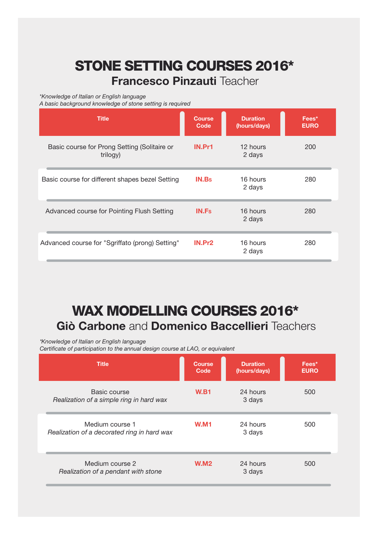# **Francesco Pinzauti** Teacher **STONE SETTING COURSES 2016\***

*\*Knowledge of Italian or English language*

*A basic background knowledge of stone setting is required*

| <b>Title</b>                                             | <b>Course</b><br>Code | <b>Duration</b><br>(hours/days) | Fees*<br><b>EURO</b> |
|----------------------------------------------------------|-----------------------|---------------------------------|----------------------|
| Basic course for Prong Setting (Solitaire or<br>trilogy) | IN.Pr1                | 12 hours<br>2 days              | 200                  |
| Basic course for different shapes bezel Setting          | <b>IN.Bs</b>          | 16 hours<br>2 days              | 280                  |
| Advanced course for Pointing Flush Setting               | <b>IN.Fs</b>          | 16 hours<br>2 days              | 280                  |
| Advanced course for "Sgriffato (prong) Setting"          | IN.Pr <sub>2</sub>    | 16 hours<br>2 days              | 280                  |

# **Giò Carbone** and **Domenico Baccellieri** Teachers **WAX MODELLING COURSES 2016\***

*\*Knowledge of Italian or English language Certificate of participation to the annual design course at LAO, or equivalent*

| <b>Title</b>                                                   | <b>Course</b><br>Code | <b>Duration</b><br>(hours/days) | Fees*<br><b>EURO</b> |
|----------------------------------------------------------------|-----------------------|---------------------------------|----------------------|
| Basic course<br>Realization of a simple ring in hard wax       | <b>W.B1</b>           | 24 hours<br>3 days              | 500                  |
| Medium course 1<br>Realization of a decorated ring in hard wax | <b>W.M1</b>           | 24 hours<br>3 days              | 500                  |
| Medium course 2<br>Realization of a pendant with stone         | <b>W.M2</b>           | 24 hours<br>3 days              | 500                  |